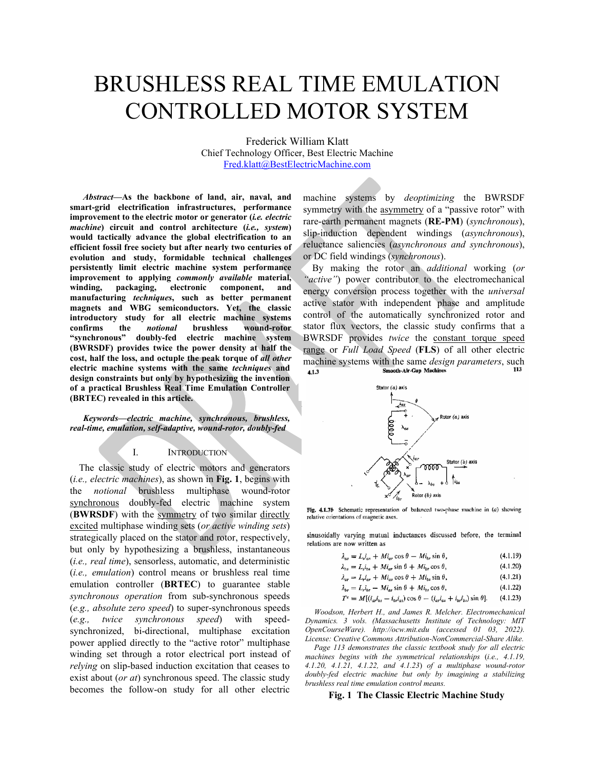# BRUSHLESS REAL TIME EMULATION CONTROLLED MOTOR SYSTEM

Frederick William Klatt Chief Technology Officer, Best Electric Machine [Fred.klatt@BestElectricMachine.com](mailto:Fred.klatt@BestElectricMachine.com) 

*Abstract***—As the backbone of land, air, naval, and smart-grid electrification infrastructures, performance improvement to the electric motor or generator (***i.e. electric machine***) circuit and control architecture (***i.e., system***) would tactically advance the global electrification to an efficient fossil free society but after nearly two centuries of evolution and study, formidable technical challenges persistently limit electric machine system performance improvement to applying** *commonly available* **material, winding, packaging, electronic component, and manufacturing** *techniques***, such as better permanent magnets and WBG semiconductors. Yet, the classic introductory study for all electric machine systems confirms the** *notional* **brushless wound-rotor "synchronous" doubly-fed electric machine system (BWRSDF) provides twice the power density at half the cost, half the loss, and octuple the peak torque of** *all other* **electric machine systems with the same** *techniques* **and design constraints but only by hypothesizing the invention of a practical Brushless Real Time Emulation Controller (BRTEC) revealed in this article.**

*Keywords—electric machine, synchronous, brushless, real-time, emulation, self-adaptive, wound-rotor, doubly-fed*

#### I. INTRODUCTION

The classic study of electric motors and generators (*i.e., electric machines*), as shown in **[Fig. 1](#page-0-0)**, begins with the *notional* brushless multiphase wound-rotor synchronous doubly-fed electric machine system (**BWRSDF**) with the symmetry of two similar directly excited multiphase winding sets (*or active winding sets*) strategically placed on the stator and rotor, respectively, but only by hypothesizing a brushless, instantaneous (*i.e., real time*), sensorless, automatic, and deterministic (*i.e., emulation*) control means or brushless real time emulation controller (**BRTEC**) to guarantee stable *synchronous operation* from sub-synchronous speeds (*e.g., absolute zero speed*) to super-synchronous speeds (*e.g., twice synchronous speed*) with speedsynchronized, bi-directional, multiphase excitation power applied directly to the "active rotor" multiphase winding set through a rotor electrical port instead of *relying* on slip-based induction excitation that ceases to exist about (*or at*) synchronous speed. The classic study becomes the follow-on study for all other electric machine systems by *deoptimizing* the BWRSDF symmetry with the asymmetry of a "passive rotor" with rare-earth permanent magnets (**RE-PM**) (*synchronous*), slip-induction dependent windings (*asynchronous*), reluctance saliencies (*asynchronous and synchronous*), or DC field windings (*synchronous*).

By making the rotor an *additional* working (*or "active"*) power contributor to the electromechanical energy conversion process together with the *universal* active stator with independent phase and amplitude control of the automatically synchronized rotor and stator flux vectors, the classic study confirms that a BWRSDF provides *twice* the constant torque speed range or *Full Load Speed* (**FLS**) of all other electric machine systems with the same *design parameters*, such<br> **41.3** Smooth-Air-Gap Machines 4.1.3



Fig. 4.1.7b Schematic representation of balanced two-phase machine in  $(a)$  showing relative orientations of magnetic axes.

sinusoidally varying mutual inductances discussed before, the terminal relations are now written as

$$
\lambda_{as} = L_{s} i_{as} + M i_{ar} \cos \theta - M i_{br} \sin \theta, \qquad (4.1.19)
$$

$$
\lambda_{bs} = L_s i_{bs} + M i_{ar} \sin \theta + M i_{br} \cos \theta, \qquad (4.1.20)
$$

$$
\lambda_{\text{ar}} = L_r i_{\text{ar}} + M i_{\text{as}} \cos \theta + M i_{\text{bs}} \sin \theta, \tag{4.1.21}
$$
\n
$$
\lambda_{\text{br}} = L_r i_{\text{br}} - M i_{\text{ar}} \sin \theta + M i_{\text{bs}} \cos \theta, \tag{4.1.22}
$$

$$
T^s = M[(i_{ar}i_{bs} - i_{br}i_{as})\cos\theta - (i_{ar}i_{as} + i_{br}i_{bs})\sin\theta].
$$
 (4.1.23)

*Woodson, Herbert H., and James R. Melcher. Electromechanical Dynamics. 3 vols. (Massachusetts Institute of Technology: MIT OpenCourseWare). http://ocw.mit.edu (accessed 01 03, 2022). License: Creative Commons Attribution-NonCommercial-Share Alike.* 

*Page 113 demonstrates the classic textbook study for all electric machines begins with the symmetrical relationships* (*i.e., 4.1.19, 4.1.20, 4.1.21, 4.1.22, and 4.1.23*) *of a multiphase wound-rotor doubly-fed electric machine but only by imagining a stabilizing brushless real time emulation control means.*

<span id="page-0-0"></span>**Fig. 1 The Classic Electric Machine Study**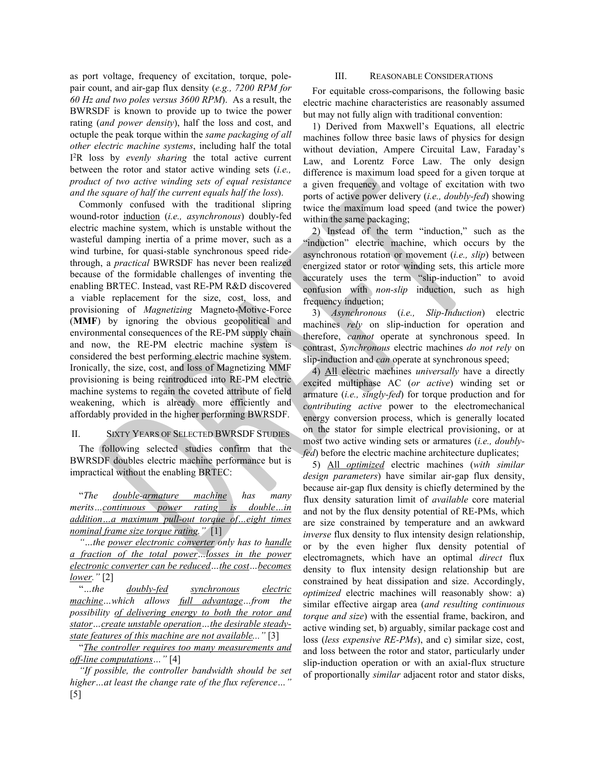as port voltage, frequency of excitation, torque, polepair count, and air-gap flux density (*e.g., 7200 RPM for 60 Hz and two poles versus 3600 RPM*). As a result, the BWRSDF is known to provide up to twice the power rating (*and power density*), half the loss and cost, and octuple the peak torque within the *same packaging of all other electric machine systems*, including half the total I 2 R loss by *evenly sharing* the total active current between the rotor and stator active winding sets (*i.e., product of two active winding sets of equal resistance and the square of half the current equals half the loss*).

Commonly confused with the traditional slipring wound-rotor induction (*i.e., asynchronous*) doubly-fed electric machine system, which is unstable without the wasteful damping inertia of a prime mover, such as a wind turbine, for quasi-stable synchronous speed ridethrough, a *practical* BWRSDF has never been realized because of the formidable challenges of inventing the enabling BRTEC. Instead, vast RE-PM R&D discovered a viable replacement for the size, cost, loss, and provisioning of *Magnetizing* Magneto-Motive-Force (**MMF**) by ignoring the obvious geopolitical and environmental consequences of the RE-PM supply chain and now, the RE-PM electric machine system is considered the best performing electric machine system. Ironically, the size, cost, and loss of Magnetizing MMF provisioning is being reintroduced into RE-PM electric machine systems to regain the coveted attribute of field weakening, which is already more efficiently and affordably provided in the higher performing BWRSDF.

## II. SIXTY YEARS OF SELECTED BWRSDF STUDIES

The following selected studies confirm that the BWRSDF doubles electric machine performance but is impractical without the enabling BRTEC:

"*The double-armature machine has many merits…continuous power rating is double…in addition…a maximum pull-out torque of…eight times nominal frame size torque rating."* [1]

*"…the power electronic converter only has to handle a fraction of the total power…losses in the power electronic converter can be reduced…the cost…becomes lower."* [2]

"*…the doubly-fed synchronous electric machine…which allows full advantage…from the possibility of delivering energy to both the rotor and stator…create unstable operation…the desirable steadystate features of this machine are not available..."* [3]

"*The controller requires too many measurements and off-line computations…"* [4]

*"If possible, the controller bandwidth should be set higher…at least the change rate of the flux reference…"* [5]

#### III. REASONABLE CONSIDERATIONS

For equitable cross-comparisons, the following basic electric machine characteristics are reasonably assumed but may not fully align with traditional convention:

1) Derived from Maxwell's Equations, all electric machines follow three basic laws of physics for design without deviation, Ampere Circuital Law, Faraday's Law, and Lorentz Force Law. The only design difference is maximum load speed for a given torque at a given frequency and voltage of excitation with two ports of active power delivery (*i.e., doubly-fed*) showing twice the maximum load speed (and twice the power) within the same packaging;

2) Instead of the term "induction," such as the "induction" electric machine, which occurs by the asynchronous rotation or movement (*i.e., slip*) between energized stator or rotor winding sets, this article more accurately uses the term "slip-induction" to avoid confusion with *non-slip* induction, such as high frequency induction;

3) *Asynchronous* (*i.e., Slip-Induction*) electric machines *rely* on slip-induction for operation and therefore, *cannot* operate at synchronous speed. In contrast, *Synchronous* electric machines *do not rely* on slip-induction and *can* operate at synchronous speed;

4) All electric machines *universally* have a directly excited multiphase AC (*or active*) winding set or armature (*i.e., singly-fed*) for torque production and for *contributing active* power to the electromechanical energy conversion process, which is generally located on the stator for simple electrical provisioning, or at most two active winding sets or armatures (*i.e., doublyfed*) before the electric machine architecture duplicates;

5) All *optimized* electric machines (*with similar design parameters*) have similar air-gap flux density, because air-gap flux density is chiefly determined by the flux density saturation limit of *available* core material and not by the flux density potential of RE-PMs, which are size constrained by temperature and an awkward *inverse* flux density to flux intensity design relationship, or by the even higher flux density potential of electromagnets, which have an optimal *direct* flux density to flux intensity design relationship but are constrained by heat dissipation and size. Accordingly, *optimized* electric machines will reasonably show: a) similar effective airgap area (*and resulting continuous torque and size*) with the essential frame, backiron, and active winding set, b) arguably, similar package cost and loss (*less expensive RE-PMs*), and c) similar size, cost, and loss between the rotor and stator, particularly under slip-induction operation or with an axial-flux structure of proportionally *similar* adjacent rotor and stator disks,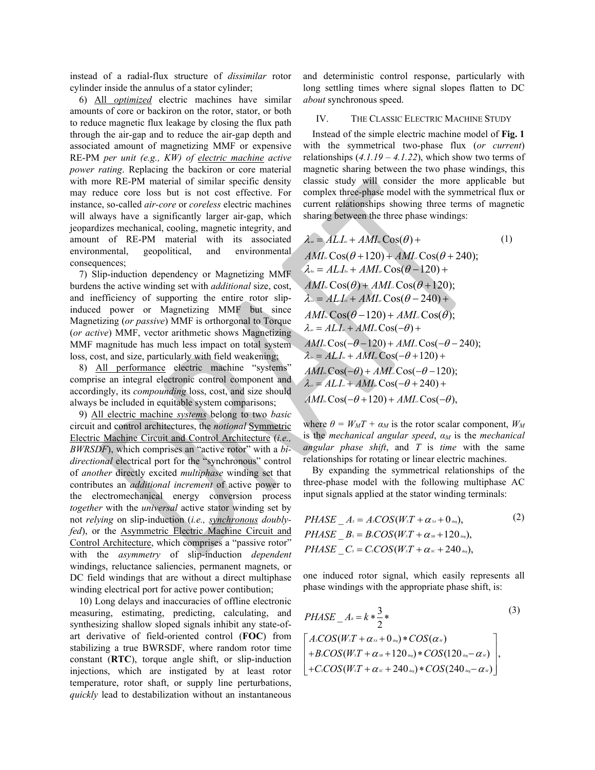instead of a radial-flux structure of *dissimilar* rotor cylinder inside the annulus of a stator cylinder;

6) All *optimized* electric machines have similar amounts of core or backiron on the rotor, stator, or both to reduce magnetic flux leakage by closing the flux path through the air-gap and to reduce the air-gap depth and associated amount of magnetizing MMF or expensive RE-PM *per unit (e.g., KW) of electric machine active power rating*. Replacing the backiron or core material with more RE-PM material of similar specific density may reduce core loss but is not cost effective. For instance, so-called *air-core* or *coreless* electric machines will always have a significantly larger air-gap, which jeopardizes mechanical, cooling, magnetic integrity, and amount of RE-PM material with its associated environmental, geopolitical, and environmental consequences;

7) Slip-induction dependency or Magnetizing MMF burdens the active winding set with *additional* size, cost, and inefficiency of supporting the entire rotor slipinduced power or Magnetizing MMF but since Magnetizing (*or passive*) MMF is orthorgonal to Torque (*or active*) MMF, vector arithmetic shows Magnetizing MMF magnitude has much less impact on total system loss, cost, and size, particularly with field weakening;

8) All performance electric machine "systems" comprise an integral electronic control component and accordingly, its *compounding* loss, cost, and size should always be included in equitable system comparisons;

9) All electric machine *systems* belong to two *basic* circuit and control architectures, the *notional* Symmetric Electric Machine Circuit and Control Architecture (*i.e., BWRSDF*), which comprises an "active rotor" with a *bidirectional* electrical port for the "synchronous" control of *another* directly excited *multiphase* winding set that contributes an *additional increment* of active power to the electromechanical energy conversion process *together* with the *universal* active stator winding set by not *relying* on slip-induction (*i.e., synchronous doublyfed*), or the Asymmetric Electric Machine Circuit and Control Architecture, which comprises a "passive rotor" with the *asymmetry* of slip-induction *dependent* windings, reluctance saliencies, permanent magnets, or DC field windings that are without a direct multiphase winding electrical port for active power contibution;

10) Long delays and inaccuracies of offline electronic measuring, estimating, predicting, calculating, and synthesizing shallow sloped signals inhibit any state-ofart derivative of field-oriented control (**FOC**) from stabilizing a true BWRSDF, where random rotor time constant (**RTC**), torque angle shift, or slip-induction injections, which are instigated by at least rotor temperature, rotor shaft, or supply line perturbations, *quickly* lead to destabilization without an instantaneous and deterministic control response, particularly with long settling times where signal slopes flatten to DC *about* synchronous speed.

#### IV. THE CLASSIC ELECTRIC MACHINE STUDY

Instead of the simple electric machine model of **[Fig.](#page-0-0) 1** with the symmetrical two-phase flux (*or current*) relationships (*4.1.19 – 4.1.22*), which show two terms of magnetic sharing between the two phase windings, this classic study will consider the more applicable but complex three-phase model with the symmetrical flux or current relationships showing three terms of magnetic sharing between the three phase windings:

$$
\lambda_{\infty} = ALI_{\infty} + AMI_{\infty} \cos(\theta) + \tag{1}
$$
\n
$$
AMI_{\infty} \cos(\theta + 120) + AMI_{\infty} \cos(\theta + 240);
$$
\n
$$
\lambda_{\infty} = ALJ_{\infty} + AMI_{\infty} \cos(\theta - 120) + \quad AMI_{\infty} \cos(\theta) + AMI_{\infty} \cos(\theta + 120);
$$
\n
$$
\lambda_{\infty} = ALJ_{\infty} + AMI_{\infty} \cos(\theta - 240) + \quad AMI_{\infty} \cos(\theta - 120) + AMI_{\infty} \cos(\theta);
$$
\n
$$
\lambda_{\infty} = ALJ_{\infty} + AMI_{\infty} \cos(-\theta) + \quad AMI_{\infty} \cos(-\theta - 120) + AMI_{\infty} \cos(-\theta - 240);
$$
\n
$$
\lambda_{\infty} = ALJ_{\infty} + AMJ_{\infty} \cos(-\theta + 120) + \quad AMI_{\infty} \cos(-\theta) + AMI_{\infty} \cos(-\theta - 120);
$$
\n
$$
\lambda_{\infty} = ALJ_{\infty} + AMI_{\infty} \cos(-\theta + 240) + \quad AMI_{\infty} \cos(-\theta + 120) + AMI_{\infty} \cos(-\theta),
$$

where  $\theta = W_M T + \alpha_M$  is the rotor scalar component,  $W_M$ is the *mechanical angular speed*, *α<sup>M</sup>* is the *mechanical angular phase shift*, and *T* is *time* with the same relationships for rotating or linear electric machines.

By expanding the symmetrical relationships of the three-phase model with the following multiphase AC input signals applied at the stator winding terminals:

$$
PHASE\_A_s = Ascos(W_sT + \alpha_{ss} + \mathbf{0}_{ss}),
$$
  
\n
$$
PHASE\_B_s = Bscos(W_sT + \alpha_{ss} + 12\mathbf{0}_{ss}),
$$
  
\n
$$
PHASE\_C_s = Cscos(W_sT + \alpha_{ss} + 24\mathbf{0}_{ss}),
$$
\n(2)

one induced rotor signal, which easily represents all phase windings with the appropriate phase shift, is:

$$
PHASE_A = k * \frac{3}{2} * \qquad (3)
$$
\n
$$
\begin{bmatrix}\nACOS(W_sT + \alpha_{ss} + 0_{ss}) * COS(\alpha_{ss}) \\
+ B_s COS(W_sT + \alpha_{ss} + 120_{ss}) * COS(120_{ss} - \alpha_{ss}) \\
+ C_s COS(W_sT + \alpha_{ss} + 240_{ss}) * COS(240_{ss} - \alpha_{ss})\n\end{bmatrix},
$$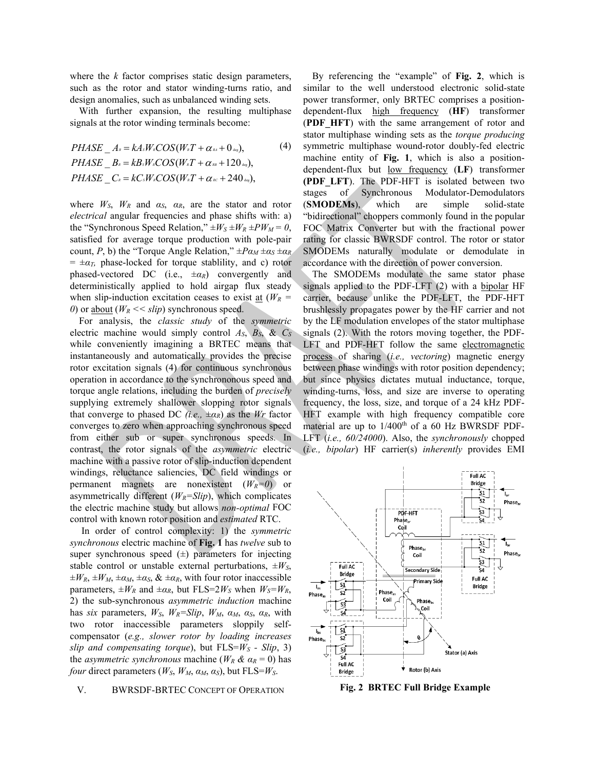where the *k* factor comprises static design parameters, such as the rotor and stator winding-turns ratio, and design anomalies, such as unbalanced winding sets.

With further expansion, the resulting multiphase signals at the rotor winding terminals become:

$$
PHASE\_A_{\kappa} = kA_{\kappa}W_{\kappa}COS(W_{\kappa}T + \alpha_{\kappa\kappa} + 0_{\omega_{\kappa}}),
$$
\n
$$
PHASE\_B_{\kappa} = kB_{\kappa}W_{\kappa}COS(W_{\kappa}T + \alpha_{\kappa\kappa} + 120_{\omega_{\kappa}}),
$$
\n
$$
PHASE\_C_{\kappa} = kC_{\kappa}W_{\kappa}COS(W_{\kappa}T + \alpha_{\kappa\kappa} + 240_{\omega_{\kappa}}),
$$
\n(4)

where  $W_S$ ,  $W_R$  and  $\alpha_S$ ,  $\alpha_R$ , are the stator and rotor *electrical* angular frequencies and phase shifts with: a) the "Synchronous Speed Relation,"  $\pm W_S \pm W_R \pm PW_M = 0$ , satisfied for average torque production with pole-pair count, *P*, b) the "Torque Angle Relation,"  $\pm P\alpha_M \pm \alpha_S \pm \alpha_R$  $= \pm \alpha_T$ , phase-locked for torque stablility, and c) rotor phased-vectored DC (i.e., ±*αR*) convergently and deterministically applied to hold airgap flux steady when slip-induction excitation ceases to exist at  $(W_R =$ *0*) or <u>about</u> ( $W_R \ll$  *slip*) synchronous speed.

For analysis, the *classic study* of the *symmetric* electric machine would simply control  $A_S$ ,  $B_S$ , &  $C_S$ while conveniently imagining a BRTEC means that instantaneously and automatically provides the precise rotor excitation signals (4) for continuous synchronous operation in accordance to the synchrononous speed and torque angle relations, including the burden of *precisely* supplying extremely shallower slopping rotor signals that converge to phased DC *(i.e.,*  $\pm \alpha_R$ ) as the *Wr* factor converges to zero when approaching synchronous speed from either sub or super synchronous speeds. In contrast, the rotor signals of the *asymmetric* electric machine with a passive rotor of slip-induction dependent windings, reluctance saliencies, DC field windings or permanent magnets are nonexistent  $(W_R=0)$  or asymmetrically different  $(W_R = Slip)$ , which complicates the electric machine study but allows *non-optimal* FOC control with known rotor position and *estimated* RTC.

In order of control complexity: 1) the *symmetric synchronous* electric machine of **[Fig.](#page-0-0) 1** has *twelve* sub to super synchronous speed  $(±)$  parameters for injecting stable control or unstable external perturbations,  $\pm W_S$ ,  $\pm W_R$ ,  $\pm W_M$ ,  $\pm \alpha_M$ ,  $\pm \alpha_S$ ,  $\& \pm \alpha_R$ , with four rotor inaccessible parameters,  $\pm W_R$  and  $\pm \alpha_R$ , but FLS=2 $W_S$  when  $W_S = W_R$ , 2) the sub-synchronous *asymmetric induction* machine has *six* parameters,  $W_S$ ,  $W_R = Slip$ ,  $W_M$ ,  $\alpha_M$ ,  $\alpha_S$ ,  $\alpha_R$ , with two rotor inaccessible parameters sloppily selfcompensator (*e.g., slower rotor by loading increases slip and compensating torque*), but  $FLS = W_S - Slip, 3$ the *asymmetric synchronous* machine ( $W_R \& \alpha_R = 0$ ) has *four* direct parameters ( $W_S$ ,  $W_M$ ,  $\alpha_M$ ,  $\alpha_S$ ), but FLS= $W_S$ .

#### V. BWRSDF-BRTEC CONCEPT OF OPERATION

By referencing the "example" of **[Fig.](#page-3-0) 2**, which is similar to the well understood electronic solid-state power transformer, only BRTEC comprises a positiondependent-flux high frequency (**HF**) transformer (**PDF\_HFT**) with the same arrangement of rotor and stator multiphase winding sets as the *torque producing* symmetric multiphase wound-rotor doubly-fed electric machine entity of **[Fig.](#page-0-0) 1**, which is also a positiondependent-flux but low frequency (**LF**) transformer **(PDF\_LFT**). The PDF-HFT is isolated between two stages of Synchronous Modulator-Demodulators (**SMODEMs**), which are simple solid-state "bidirectional" choppers commonly found in the popular FOC Matrix Converter but with the fractional power rating for classic BWRSDF control. The rotor or stator SMODEMs naturally modulate or demodulate in accordance with the direction of power conversion.

The SMODEMs modulate the same stator phase signals applied to the PDF-LFT (2) with a bipolar HF carrier, because unlike the PDF-LFT, the PDF-HFT brushlessly propagates power by the HF carrier and not by the LF modulation envelopes of the stator multiphase signals (2). With the rotors moving together, the PDF-LFT and PDF-HFT follow the same electromagnetic process of sharing (*i.e., vectoring*) magnetic energy between phase windings with rotor position dependency; but since physics dictates mutual inductance, torque, winding-turns, loss, and size are inverse to operating frequency, the loss, size, and torque of a 24 kHz PDF-HFT example with high frequency compatible core material are up to  $1/400<sup>th</sup>$  of a 60 Hz BWRSDF PDF-LFT (*i.e., 60/24000*). Also, the *synchronously* chopped (*i.e., bipolar*) HF carrier(s) *inherently* provides EMI



<span id="page-3-0"></span>**Fig. 2 BRTEC Full Bridge Example**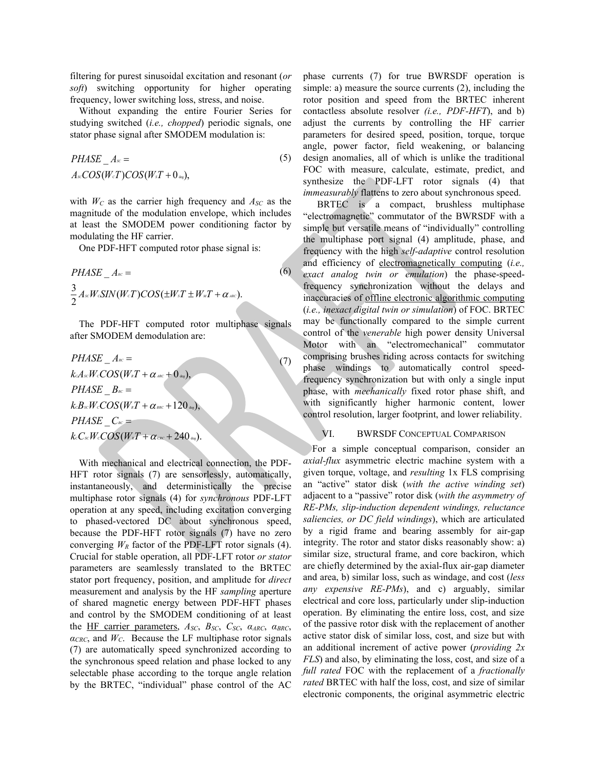filtering for purest sinusoidal excitation and resonant (*or soft*) switching opportunity for higher operating frequency, lower switching loss, stress, and noise.

Without expanding the entire Fourier Series for studying switched (*i.e., chopped*) periodic signals, one stator phase signal after SMODEM modulation is:

$$
PHASE\_A_{\infty} =
$$
  
\n
$$
A_{\infty}COS(W_{c}T)COS(W_{s}T + 0_{\infty}),
$$
\n(5)

with  $W_C$  as the carrier high frequency and  $A_{SC}$  as the magnitude of the modulation envelope, which includes at least the SMODEM power conditioning factor by modulating the HF carrier.

One PDF-HFT computed rotor phase signal is:

$$
PHASE\_A_{\text{nc}} =
$$
\n
$$
\frac{3}{2}A_{\text{sc}}W\cdot SIN(W_{\text{c}}T)COS(\pm W_{\text{s}}T \pm W_{\text{m}}T + \alpha_{\text{acc}}).
$$
\n(6)

The PDF-HFT computed rotor multiphase signals after SMODEM demodulation are:

$$
PHASE\_A_{sc} =
$$
\n
$$
k.A_{sc}W_c COS(W_{s}T + \alpha_{sec} + 0_{ss}),
$$
\n
$$
PHASE\_B_{sc} =
$$
\n
$$
k.B_{sc}W_c COS(W_{s}T + \alpha_{sec} + 120_{ss}),
$$
\n
$$
PHASE\_C_{sc} =
$$
\n
$$
k.C_{sc}W_c COS(W_{s}T + \alpha_{csc} + 240_{ss}).
$$
\n(7)

With mechanical and electrical connection, the PDF-HFT rotor signals (7) are sensorlessly, automatically, instantaneously, and deterministically the precise multiphase rotor signals (4) for *synchronous* PDF-LFT operation at any speed, including excitation converging to phased-vectored DC about synchronous speed, because the PDF-HFT rotor signals (7) have no zero converging  $W_R$  factor of the PDF-LFT rotor signals (4). Crucial for stable operation, all PDF-LFT rotor *or stator* parameters are seamlessly translated to the BRTEC stator port frequency, position, and amplitude for *direct* measurement and analysis by the HF *sampling* aperture of shared magnetic energy between PDF-HFT phases and control by the SMODEM conditioning of at least the HF carrier parameters, *ASC*, *BSC*, *CSC*, *αARC*, *αBRC*,  $\alpha_{CRC}$ , and  $W_C$ . Because the LF multiphase rotor signals (7) are automatically speed synchronized according to the synchronous speed relation and phase locked to any selectable phase according to the torque angle relation by the BRTEC, "individual" phase control of the AC

phase currents (7) for true BWRSDF operation is simple: a) measure the source currents (2), including the rotor position and speed from the BRTEC inherent contactless absolute resolver *(i.e., PDF-HFT*), and b) adjust the currents by controlling the HF carrier parameters for desired speed, position, torque, torque angle, power factor, field weakening, or balancing design anomalies, all of which is unlike the traditional FOC with measure, calculate, estimate, predict, and synthesize the PDF-LFT rotor signals (4) that *immeasurably* flattens to zero about synchronous speed.

BRTEC is a compact, brushless multiphase "electromagnetic" commutator of the BWRSDF with a simple but versatile means of "individually" controlling the multiphase port signal (4) amplitude, phase, and frequency with the high *self-adaptive* control resolution and efficiency of electromagnetically computing (*i.e., exact analog twin or emulation*) the phase-speedfrequency synchronization without the delays and inaccuracies of offline electronic algorithmic computing (*i.e., inexact digital twin or simulation*) of FOC. BRTEC may be functionally compared to the simple current control of the *venerable* high power density Universal Motor with an "electromechanical" commutator comprising brushes riding across contacts for switching phase windings to automatically control speedfrequency synchronization but with only a single input phase, with *mechanically* fixed rotor phase shift, and with significantly higher harmonic content, lower control resolution, larger footprint, and lower reliability.

#### VI. BWRSDF CONCEPTUAL COMPARISON

For a simple conceptual comparison, consider an *axial-flux* asymmetric electric machine system with a given torque, voltage, and *resulting* 1x FLS comprising an "active" stator disk (*with the active winding set*) adjacent to a "passive" rotor disk (*with the asymmetry of RE-PMs, slip-induction dependent windings, reluctance saliencies, or DC field windings*), which are articulated by a rigid frame and bearing assembly for air-gap integrity. The rotor and stator disks reasonably show: a) similar size, structural frame, and core backiron, which are chiefly determined by the axial-flux air-gap diameter and area, b) similar loss, such as windage, and cost (*less any expensive RE-PMs*), and c) arguably, similar electrical and core loss, particularly under slip-induction operation. By eliminating the entire loss, cost, and size of the passive rotor disk with the replacement of another active stator disk of similar loss, cost, and size but with an additional increment of active power (*providing 2x FLS*) and also, by eliminating the loss, cost, and size of a *full rated* FOC with the replacement of a *fractionally rated* BRTEC with half the loss, cost, and size of similar electronic components, the original asymmetric electric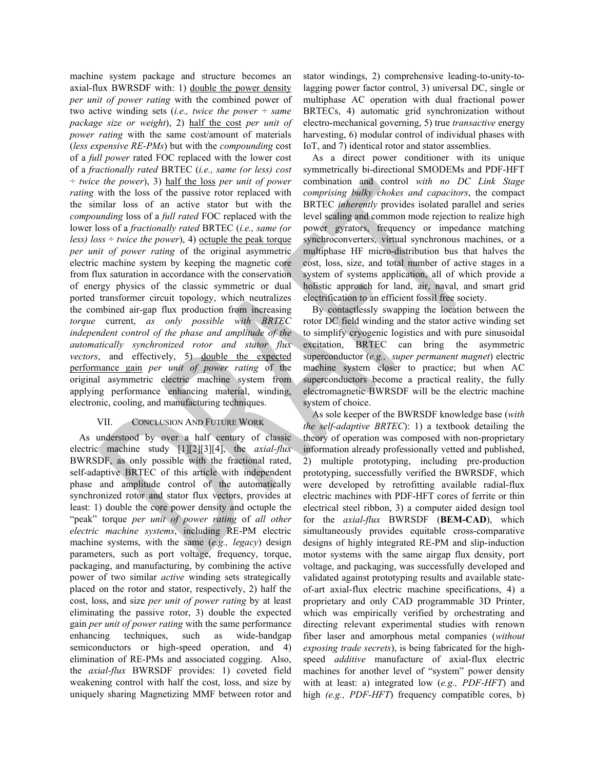machine system package and structure becomes an axial-flux BWRSDF with: 1) double the power density *per unit of power rating* with the combined power of two active winding sets (*i.e., twice the power ÷ same package size or weight*), 2) half the cost *per unit of power rating* with the same cost/amount of materials (*less expensive RE-PMs*) but with the *compounding* cost of a *full power* rated FOC replaced with the lower cost of a *fractionally rated* BRTEC (*i.e., same (or less) cost ÷ twice the power*), 3) half the loss *per unit of power rating* with the loss of the passive rotor replaced with the similar loss of an active stator but with the *compounding* loss of a *full rated* FOC replaced with the lower loss of a *fractionally rated* BRTEC (*i.e., same (or less)*  $loss \div twice the power$ , 4) <u>octuple the peak torque</u> *per unit of power rating* of the original asymmetric electric machine system by keeping the magnetic core from flux saturation in accordance with the conservation of energy physics of the classic symmetric or dual ported transformer circuit topology, which neutralizes the combined air-gap flux production from increasing *torque* current, *as only possible with BRTEC independent control of the phase and amplitude of the automatically synchronized rotor and stator flux vectors*, and effectively, 5) double the expected performance gain *per unit of power rating* of the original asymmetric electric machine system from applying performance enhancing material, winding, electronic, cooling, and manufacturing techniques.

### VII. CONCLUSION AND FUTURE WORK

As understood by over a half century of classic electric machine study [1][2][3][4], the *axial-flux* BWRSDF, as only possible with the fractional rated, self-adaptive BRTEC of this article with independent phase and amplitude control of the automatically synchronized rotor and stator flux vectors, provides at least: 1) double the core power density and octuple the "peak" torque *per unit of power rating* of *all other electric machine systems*, including RE-PM electric machine systems, with the same (*e.g., legacy*) design parameters, such as port voltage, frequency, torque, packaging, and manufacturing, by combining the active power of two similar *active* winding sets strategically placed on the rotor and stator, respectively, 2) half the cost, loss, and size *per unit of power rating* by at least eliminating the passive rotor, 3) double the expected gain *per unit of power rating* with the same performance enhancing techniques, such as wide-bandgap semiconductors or high-speed operation, and 4) elimination of RE-PMs and associated cogging. Also, the *axial-flux* BWRSDF provides: 1) coveted field weakening control with half the cost, loss, and size by uniquely sharing Magnetizing MMF between rotor and

stator windings, 2) comprehensive leading-to-unity-tolagging power factor control, 3) universal DC, single or multiphase AC operation with dual fractional power BRTECs, 4) automatic grid synchronization without electro-mechanical governing, 5) true *transactive* energy harvesting, 6) modular control of individual phases with IoT, and 7) identical rotor and stator assemblies.

As a direct power conditioner with its unique symmetrically bi-directional SMODEMs and PDF-HFT combination and control *with no DC Link Stage comprising bulky chokes and capacitors*, the compact BRTEC *inherently* provides isolated parallel and series level scaling and common mode rejection to realize high power gyrators, frequency or impedance matching synchroconverters, virtual synchronous machines, or a multiphase HF micro-distribution bus that halves the cost, loss, size, and total number of active stages in a system of systems application, all of which provide a holistic approach for land, air, naval, and smart grid electrification to an efficient fossil free society.

By contactlessly swapping the location between the rotor DC field winding and the stator active winding set to simplify cryogenic logistics and with pure sinusoidal excitation, BRTEC can bring the asymmetric superconductor (*e.g., super permanent magnet*) electric machine system closer to practice; but when AC superconductors become a practical reality, the fully electromagnetic BWRSDF will be the electric machine system of choice.

As sole keeper of the BWRSDF knowledge base (*with the self-adaptive BRTEC*): 1) a textbook detailing the theory of operation was composed with non-proprietary information already professionally vetted and published, 2) multiple prototyping, including pre-production prototyping, successfully verified the BWRSDF, which were developed by retrofitting available radial-flux electric machines with PDF-HFT cores of ferrite or thin electrical steel ribbon, 3) a computer aided design tool for the *axial-flux* BWRSDF (**BEM-CAD**), which simultaneously provides equitable cross-comparative designs of highly integrated RE-PM and slip-induction motor systems with the same airgap flux density, port voltage, and packaging, was successfully developed and validated against prototyping results and available stateof-art axial-flux electric machine specifications, 4) a proprietary and only CAD programmable 3D Printer, which was empirically verified by orchestrating and directing relevant experimental studies with renown fiber laser and amorphous metal companies (*without exposing trade secrets*), is being fabricated for the highspeed *additive* manufacture of axial-flux electric machines for another level of "system" power density with at least: a) integrated low (*e.g., PDF-HFT*) and high *(e.g., PDF-HFT*) frequency compatible cores, b)